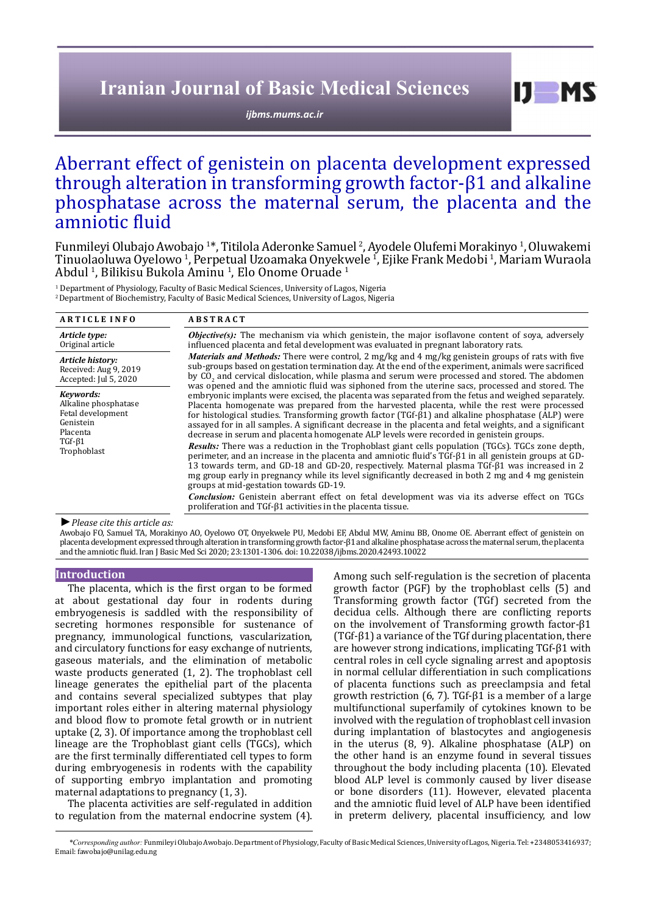# **Iranian Journal of Basic Medical Sciences**

*[ijbms.mums.ac.ir](http://ijbms.mums.ac.ir)*

# Aberrant effect of genistein on placenta development expressed through alteration in transforming growth factor-β1 and alkaline phosphatase across the maternal serum, the placenta and the amniotic fluid

Funmileyi Olubajo Awobajo 1 \*, Titilola Aderonke Samuel <sup>2</sup> , Ayodele Olufemi Morakinyo <sup>1</sup> , Oluwakemi Tinuolaoluwa Oyelowo 1 , Perpetual Uzoamaka Onyekwele <sup>1</sup> , Ejike Frank Medobi <sup>1</sup> , Mariam Wuraola Abdul <sup>1</sup>, Bilikisu Bukola Aminu <sup>1</sup>, Elo Onome Oruade <sup>1</sup>

1 Department of Physiology, Faculty of Basic Medical Sciences, University of Lagos, Nigeria <sup>2</sup> Department of Biochemistry, Faculty of Basic Medical Sciences, University of Lagos, Nigeria

| <b>ARTICLE INFO</b>                                                                                        | <b>ABSTRACT</b>                                                                                                                                                                                                                                                                                                                                                                                                                                                                                                                                                                                                                                                                                                                                                                                                                                                                                                                                                                                                                                                                                                                                                                                                                                                              |  |  |  |  |
|------------------------------------------------------------------------------------------------------------|------------------------------------------------------------------------------------------------------------------------------------------------------------------------------------------------------------------------------------------------------------------------------------------------------------------------------------------------------------------------------------------------------------------------------------------------------------------------------------------------------------------------------------------------------------------------------------------------------------------------------------------------------------------------------------------------------------------------------------------------------------------------------------------------------------------------------------------------------------------------------------------------------------------------------------------------------------------------------------------------------------------------------------------------------------------------------------------------------------------------------------------------------------------------------------------------------------------------------------------------------------------------------|--|--|--|--|
| Article type:<br>Original article                                                                          | <b><i>Objective(s):</i></b> The mechanism via which genistein, the major isoflavone content of soya, adversely<br>influenced placenta and fetal development was evaluated in pregnant laboratory rats.<br><i>Materials and Methods:</i> There were control, 2 mg/kg and 4 mg/kg genistein groups of rats with five<br>sub-groups based on gestation termination day. At the end of the experiment, animals were sacrificed<br>by CO <sub>2</sub> and cervical dislocation, while plasma and serum were processed and stored. The abdomen                                                                                                                                                                                                                                                                                                                                                                                                                                                                                                                                                                                                                                                                                                                                     |  |  |  |  |
| Article history:<br>Received: Aug 9, 2019<br>Accepted: Jul 5, 2020                                         |                                                                                                                                                                                                                                                                                                                                                                                                                                                                                                                                                                                                                                                                                                                                                                                                                                                                                                                                                                                                                                                                                                                                                                                                                                                                              |  |  |  |  |
| Kevwords:<br>Alkaline phosphatase<br>Fetal development<br>Genistein<br>Placenta<br>$TGF-61$<br>Trophoblast | was opened and the amniotic fluid was siphoned from the uterine sacs, processed and stored. The<br>embryonic implants were excised, the placenta was separated from the fetus and weighed separately.<br>Placenta homogenate was prepared from the harvested placenta, while the rest were processed<br>for histological studies. Transforming growth factor $(TGF-\beta1)$ and alkaline phosphatase (ALP) were<br>assayed for in all samples. A significant decrease in the placenta and fetal weights, and a significant<br>decrease in serum and placenta homogenate ALP levels were recorded in genistein groups.<br><b>Results:</b> There was a reduction in the Trophoblast giant cells population (TGCs). TGCs zone depth,<br>perimeter, and an increase in the placenta and amniotic fluid's TGf- $\beta$ 1 in all genistein groups at GD-<br>13 towards term, and GD-18 and GD-20, respectively. Maternal plasma $TGF-1$ was increased in 2<br>mg group early in pregnancy while its level significantly decreased in both 2 mg and 4 mg genistein<br>groups at mid-gestation towards GD-19.<br><b>Conclusion:</b> Genistein aberrant effect on fetal development was via its adverse effect on TGCs<br>proliferation and TGf-β1 activities in the placenta tissue. |  |  |  |  |

*►Please cite this article as:*

Awobajo FO, Samuel TA, Morakinyo AO, Oyelowo OT, Onyekwele PU, Medobi EF, Abdul MW, Aminu BB, Onome OE. Aberrant effect of genistein on placenta development expressed through alteration in transforming growth factor-β1 and alkaline phosphatase across the maternal serum, the placenta and the amniotic fluid. Iran J Basic Med Sci 2020; 23:1301-1306. doi: 10.22038/ijbms.2020.42493.10022

## **Introduction**

The placenta, which is the first organ to be formed at about gestational day four in rodents during embryogenesis is saddled with the responsibility of secreting hormones responsible for sustenance of pregnancy, immunological functions, vascularization, and circulatory functions for easy exchange of nutrients, gaseous materials, and the elimination of metabolic waste products generated (1, 2). The trophoblast cell lineage generates the epithelial part of the placenta and contains several specialized subtypes that play important roles either in altering maternal physiology and blood flow to promote fetal growth or in nutrient uptake (2, 3). Of importance among the trophoblast cell lineage are the Trophoblast giant cells (TGCs), which are the first terminally differentiated cell types to form during embryogenesis in rodents with the capability of supporting embryo implantation and promoting maternal adaptations to pregnancy (1, 3).

The placenta activities are self-regulated in addition to regulation from the maternal endocrine system (4).

Among such self-regulation is the secretion of placenta growth factor (PGF) by the trophoblast cells (5) and Transforming growth factor (TGf) secreted from the decidua cells. Although there are conflicting reports on the involvement of Transforming growth factor-β1 (TGf-β1) a variance of the TGf during placentation, there are however strong indications, implicating TGf-β1 with central roles in cell cycle signaling arrest and apoptosis in normal cellular differentiation in such complications of placenta functions such as preeclampsia and fetal growth restriction (6, 7). TGf-β1 is a member of a large multifunctional superfamily of cytokines known to be involved with the regulation of trophoblast cell invasion during implantation of blastocytes and angiogenesis in the uterus (8, 9). Alkaline phosphatase (ALP) on the other hand is an enzyme found in several tissues throughout the body including placenta (10). Elevated blood ALP level is commonly caused by liver disease or bone disorders (11). However, elevated placenta and the amniotic fluid level of ALP have been identified in preterm delivery, placental insufficiency, and low

 $I$   $I$   $M$   $S$ 

*\*Corresponding author:* Funmileyi Olubajo Awobajo. Department of Physiology, Faculty of Basic Medical Sciences, University of Lagos, Nigeria. Tel: +2348053416937; Email: fawobajo@unilag.edu.ng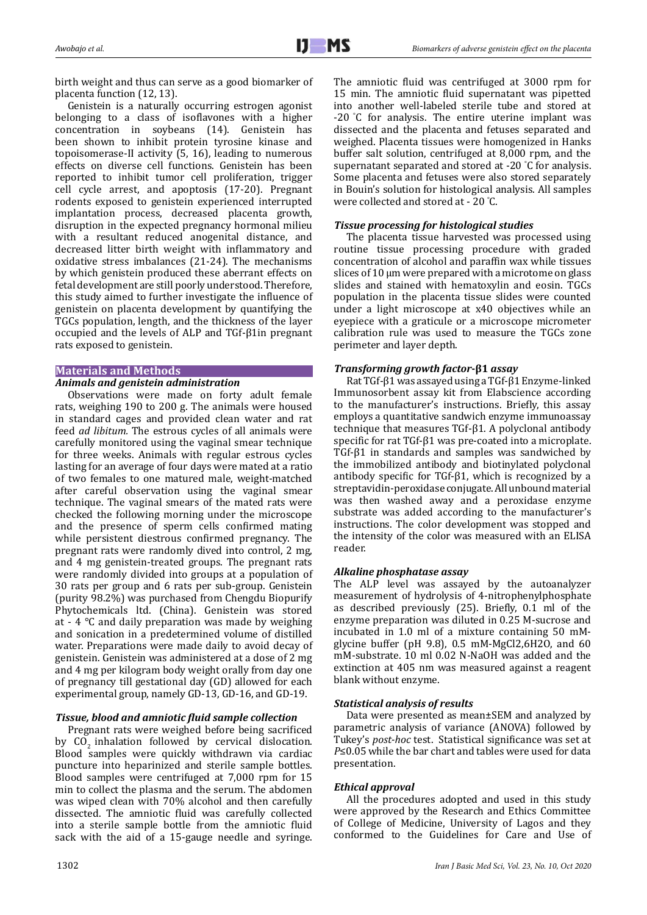birth weight and thus can serve as a good biomarker of placenta function (12, 13).

Genistein is a naturally occurring estrogen agonist belonging to a class of isoflavones with a higher concentration in soybeans (14). Genistein has been shown to inhibit protein tyrosine kinase and topoisomerase-II activity (5, 16), leading to numerous effects on diverse cell functions. Genistein has been reported to inhibit tumor cell proliferation, trigger cell cycle arrest, and apoptosis (17-20). Pregnant rodents exposed to genistein experienced interrupted implantation process, decreased placenta growth, disruption in the expected pregnancy hormonal milieu with a resultant reduced anogenital distance, and decreased litter birth weight with inflammatory and oxidative stress imbalances (21-24). The mechanisms by which genistein produced these aberrant effects on fetal development are still poorly understood. Therefore, this study aimed to further investigate the influence of genistein on placenta development by quantifying the TGCs population, length, and the thickness of the layer occupied and the levels of ALP and TGf-β1in pregnant rats exposed to genistein.

## **Materials and Methods**

# *Animals and genistein administration*

Observations were made on forty adult female rats, weighing 190 to 200 g. The animals were housed in standard cages and provided clean water and rat feed *ad libitum.* The estrous cycles of all animals were carefully monitored using the vaginal smear technique for three weeks. Animals with regular estrous cycles lasting for an average of four days were mated at a ratio of two females to one matured male, weight-matched after careful observation using the vaginal smear technique. The vaginal smears of the mated rats were checked the following morning under the microscope and the presence of sperm cells confirmed mating while persistent diestrous confirmed pregnancy. The pregnant rats were randomly dived into control, 2 mg, and 4 mg genistein-treated groups. The pregnant rats were randomly divided into groups at a population of 30 rats per group and 6 rats per sub-group. Genistein (purity 98.2%) was purchased from Chengdu Biopurify Phytochemicals ltd. (China). Genistein was stored at - 4 °C and daily preparation was made by weighing and sonication in a predetermined volume of distilled water. Preparations were made daily to avoid decay of genistein. Genistein was administered at a dose of 2 mg and 4 mg per kilogram body weight orally from day one of pregnancy till gestational day (GD) allowed for each experimental group, namely GD-13, GD-16, and GD-19.

# *Tissue, blood and amniotic fluid sample collection*

Pregnant rats were weighed before being sacrificed by CO<sub>2</sub> inhalation followed by cervical dislocation. Blood samples were quickly withdrawn via cardiac puncture into heparinized and sterile sample bottles. Blood samples were centrifuged at 7,000 rpm for 15 min to collect the plasma and the serum. The abdomen was wiped clean with 70% alcohol and then carefully dissected. The amniotic fluid was carefully collected into a sterile sample bottle from the amniotic fluid sack with the aid of a 15-gauge needle and syringe.

The amniotic fluid was centrifuged at 3000 rpm for 15 min. The amniotic fluid supernatant was pipetted into another well-labeled sterile tube and stored at -20 °C for analysis. The entire uterine implant was dissected and the placenta and fetuses separated and weighed. Placenta tissues were homogenized in Hanks buffer salt solution, centrifuged at 8,000 rpm, and the supernatant separated and stored at -20 ° C for analysis. Some placenta and fetuses were also stored separately in Bouin's solution for histological analysis. All samples were collected and stored at - 20 ° C.

# *Tissue processing for histological studies*

The placenta tissue harvested was processed using routine tissue processing procedure with graded concentration of alcohol and paraffin wax while tissues slices of 10 µm were prepared with a microtome on glass slides and stained with hematoxylin and eosin. TGCs population in the placenta tissue slides were counted under a light microscope at x40 objectives while an eyepiece with a graticule or a microscope micrometer calibration rule was used to measure the TGCs zone perimeter and layer depth.

# *Transforming growth factor***-β1** *assay*

Rat TGf-β1 was assayed using a TGf-β1 Enzyme-linked Immunosorbent assay kit from Elabscience according to the manufacturer's instructions. Briefly, this assay employs a quantitative sandwich enzyme immunoassay technique that measures TGf-β1. A polyclonal antibody specific for rat TGf-β1 was pre-coated into a microplate. TGf-β1 in standards and samples was sandwiched by the immobilized antibody and biotinylated polyclonal antibody specific for TGf-β1, which is recognized by a streptavidin-peroxidase conjugate. All unbound material was then washed away and a peroxidase enzyme substrate was added according to the manufacturer's instructions. The color development was stopped and the intensity of the color was measured with an ELISA reader.

## *Alkaline phosphatase assay*

The ALP level was assayed by the autoanalyzer measurement of hydrolysis of 4-nitrophenylphosphate as described previously (25). Briefly, 0.1 ml of the enzyme preparation was diluted in 0.25 M-sucrose and incubated in 1.0 ml of a mixture containing 50 mMglycine buffer (pH 9.8), 0.5 mM-MgCl2,6H2O, and 60 mM-substrate. 10 ml 0.02 N-NaOH was added and the extinction at 405 nm was measured against a reagent blank without enzyme.

## *Statistical analysis of results*

Data were presented as mean±SEM and analyzed by parametric analysis of variance (ANOVA) followed by Tukey's *post-hoc* test. Statistical significance was set at *P*≤0.05 while the bar chart and tables were used for data presentation.

## *Ethical approval*

All the procedures adopted and used in this study were approved by the Research and Ethics Committee of College of Medicine, University of Lagos and they conformed to the Guidelines for Care and Use of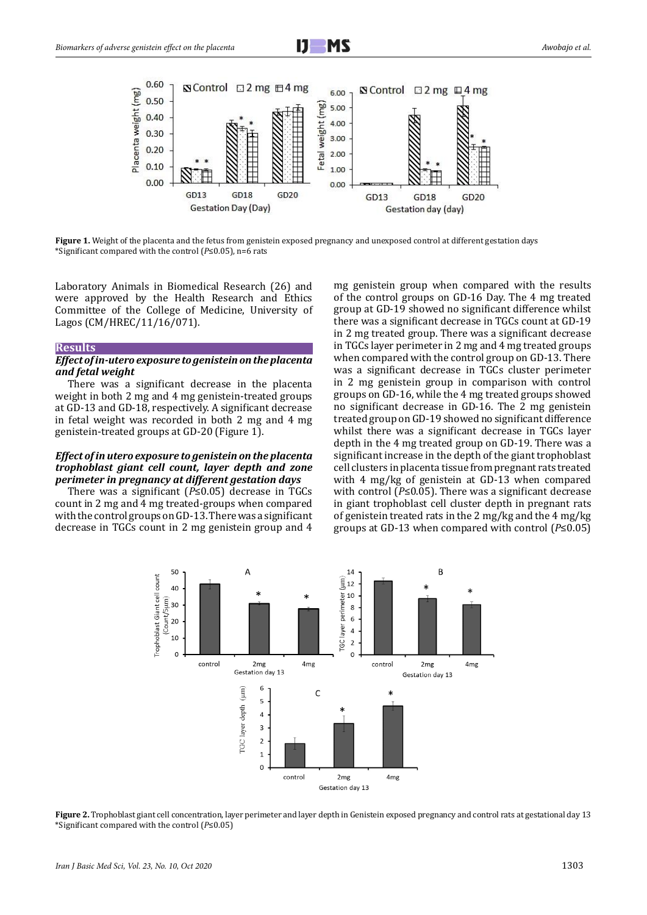



**Figure 1.** Weight of the placenta and the fetus from genistein exposed pregnancy and unexposed control at different gestation days \*Significant compared with the control (*P*≤0.05), n=6 rats

Laboratory Animals in Biomedical Research (26) and were approved by the Health Research and Ethics Committee of the College of Medicine, University of Lagos (CM/HREC/11/16/071).

#### **Results**

## *Effect of in-utero exposure to genistein on the placenta and fetal weight*

There was a significant decrease in the placenta weight in both 2 mg and 4 mg genistein-treated groups at GD-13 and GD-18, respectively. A significant decrease in fetal weight was recorded in both 2 mg and 4 mg genistein-treated groups at GD-20 (Figure 1).

# *Effect of in utero exposure to genistein on the placenta trophoblast giant cell count, layer depth and zone perimeter in pregnancy at different gestation days*

There was a significant (*P*≤0.05) decrease in TGCs count in 2 mg and 4 mg treated-groups when compared with the control groups on GD-13. There was a significant decrease in TGCs count in 2 mg genistein group and 4

mg genistein group when compared with the results of the control groups on GD-16 Day. The 4 mg treated group at GD-19 showed no significant difference whilst there was a significant decrease in TGCs count at GD-19 in 2 mg treated group. There was a significant decrease in TGCs layer perimeter in 2 mg and 4 mg treated groups when compared with the control group on GD-13. There was a significant decrease in TGCs cluster perimeter in 2 mg genistein group in comparison with control groups on GD-16, while the 4 mg treated groups showed no significant decrease in GD-16. The 2 mg genistein treated group on GD-19 showed no significant difference whilst there was a significant decrease in TGCs layer depth in the 4 mg treated group on GD-19. There was a significant increase in the depth of the giant trophoblast cell clusters in placenta tissue from pregnant rats treated with 4 mg/kg of genistein at GD-13 when compared with control (*P*≤0.05). There was a significant decrease in giant trophoblast cell cluster depth in pregnant rats of genistein treated rats in the 2 mg/kg and the 4 mg/kg groups at GD-13 when compared with control (*P*≤0.05)



**Figure 2.** Trophoblast giant cell concentration, layer perimeter and layer depth in Genistein exposed pregnancy and control rats at gestational day 13 \*Significant compared with the control (*P*≤0.05)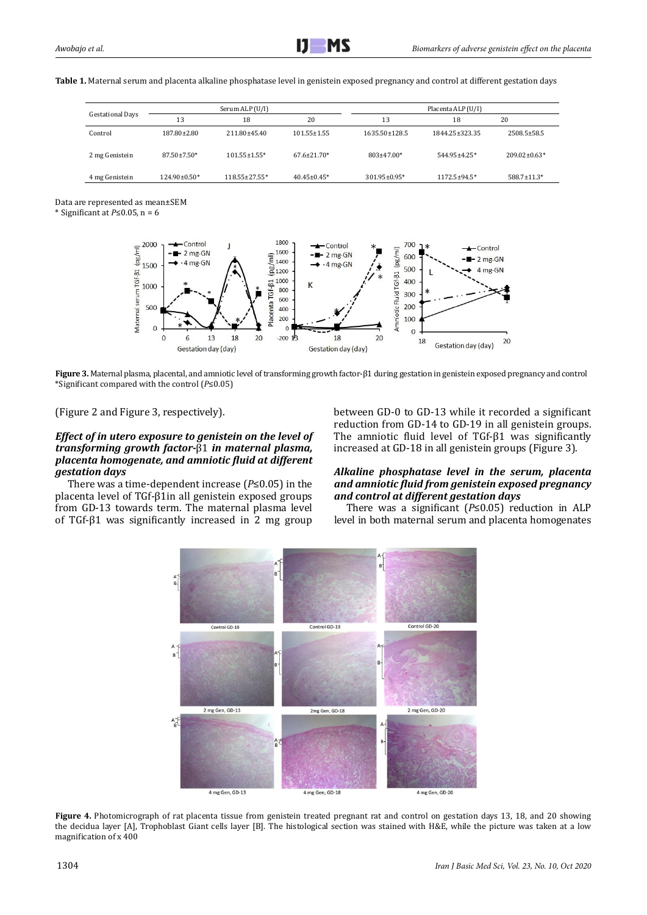**Table 1.** Maternal serum and placenta alkaline phosphatase level in genistein exposed pregnancy and control at different gestation days

| <b>Gestational Days</b> | Serum ALP (U/I)   |                    |                    | Placenta ALP (U/I) |                  |                    |
|-------------------------|-------------------|--------------------|--------------------|--------------------|------------------|--------------------|
|                         | 13                | 18                 | 20                 | 13                 | 18               | 20                 |
| Control                 | 187.80±2.80       | 211.80±45.40       | $101.55 \pm 1.55$  | 1635.50±128.5      | 1844.25 + 323.35 | 2508.5±58.5        |
| 2 mg Genistein          | $87.50 \pm 7.50*$ | $101.55 \pm 1.55*$ | $67.6 \pm 21.70*$  | $803\pm47.00*$     | 544.95±4.25*     | $209.02 \pm 0.63*$ |
| 4 mg Genistein          | $124.90\pm0.50*$  | 118.55±27.55*      | $40.45 \pm 0.45^*$ | 301.95±0.95*       | 1172.5±94.5*     | 588.7±11.3*        |

Data are represented as mean±SEM

\* Significant at *P*≤0.05, n = 6



**Figure 3.** Maternal plasma, placental, and amniotic level of transforming growth factor-β1 during gestation in genistein exposed pregnancy and control \*Significant compared with the control (*P*≤0.05)

(Figure 2 and Figure 3, respectively).

# *Effect of in utero exposure to genistein on the level of transforming growth factor-*β1 *in maternal plasma, placenta homogenate, and amniotic fluid at different gestation days*

There was a time-dependent increase (*P*≤0.05) in the placenta level of TGf-β1in all genistein exposed groups from GD-13 towards term. The maternal plasma level of TGf-β1 was significantly increased in 2 mg group between GD-0 to GD-13 while it recorded a significant reduction from GD-14 to GD-19 in all genistein groups. The amniotic fluid level of TGf-β1 was significantly increased at GD-18 in all genistein groups (Figure 3).

# *Alkaline phosphatase level in the serum, placenta and amniotic fluid from genistein exposed pregnancy and control at different gestation days*

There was a significant (*P*≤0.05) reduction in ALP level in both maternal serum and placenta homogenates



**Figure 4.** Photomicrograph of rat placenta tissue from genistein treated pregnant rat and control on gestation days 13, 18, and 20 showing the decidua layer [A], Trophoblast Giant cells layer [B]. The histological section was stained with H&E, while the picture was taken at a low magnification of x 400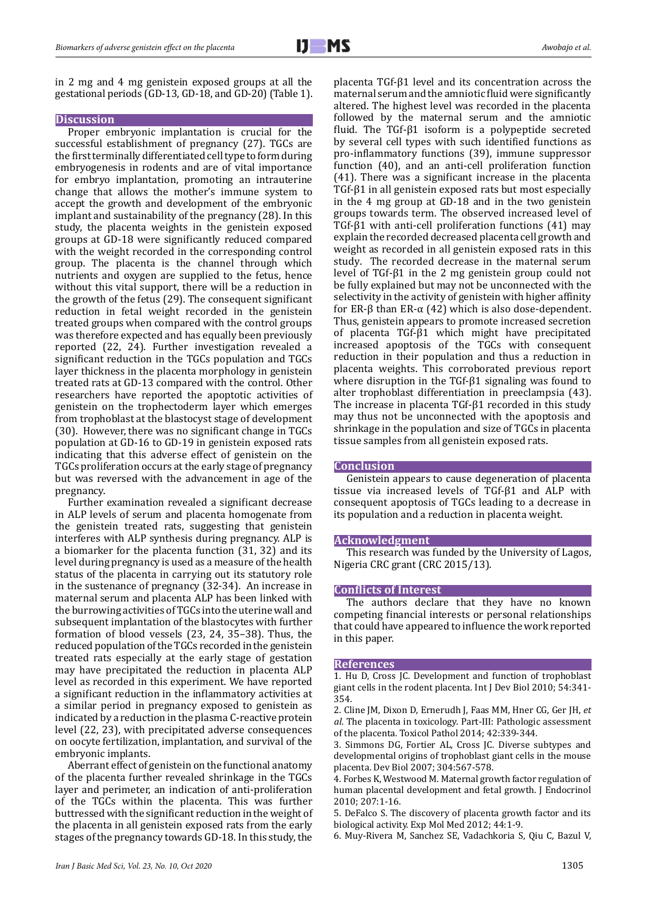in 2 mg and 4 mg genistein exposed groups at all the gestational periods (GD-13, GD-18, and GD-20) (Table 1).

## **Discussion**

Proper embryonic implantation is crucial for the successful establishment of pregnancy (27). TGCs are the first terminally differentiated cell type to form during embryogenesis in rodents and are of vital importance for embryo implantation, promoting an intrauterine change that allows the mother's immune system to accept the growth and development of the embryonic implant and sustainability of the pregnancy (28). In this study, the placenta weights in the genistein exposed groups at GD-18 were significantly reduced compared with the weight recorded in the corresponding control group. The placenta is the channel through which nutrients and oxygen are supplied to the fetus, hence without this vital support, there will be a reduction in the growth of the fetus (29). The consequent significant reduction in fetal weight recorded in the genistein treated groups when compared with the control groups was therefore expected and has equally been previously reported (22, 24). Further investigation revealed a significant reduction in the TGCs population and TGCs layer thickness in the placenta morphology in genistein treated rats at GD-13 compared with the control. Other researchers have reported the apoptotic activities of genistein on the trophectoderm layer which emerges from trophoblast at the blastocyst stage of development (30). However, there was no significant change in TGCs population at GD-16 to GD-19 in genistein exposed rats indicating that this adverse effect of genistein on the TGCs proliferation occurs at the early stage of pregnancy but was reversed with the advancement in age of the pregnancy.

Further examination revealed a significant decrease in ALP levels of serum and placenta homogenate from the genistein treated rats, suggesting that genistein interferes with ALP synthesis during pregnancy. ALP is a biomarker for the placenta function (31, 32) and its level during pregnancy is used as a measure of the health status of the placenta in carrying out its statutory role in the sustenance of pregnancy (32-34). An increase in maternal serum and placenta ALP has been linked with the burrowing activities of TGCs into the uterine wall and subsequent implantation of the blastocytes with further formation of blood vessels (23, 24, 35–38). Thus, the reduced population of the TGCs recorded in the genistein treated rats especially at the early stage of gestation may have precipitated the reduction in placenta ALP level as recorded in this experiment. We have reported a significant reduction in the inflammatory activities at a similar period in pregnancy exposed to genistein as indicated by a reduction in the plasma C-reactive protein level (22, 23), with precipitated adverse consequences on oocyte fertilization, implantation, and survival of the embryonic implants.

Aberrant effect of genistein on the functional anatomy of the placenta further revealed shrinkage in the TGCs layer and perimeter, an indication of anti-proliferation of the TGCs within the placenta. This was further buttressed with the significant reduction in the weight of the placenta in all genistein exposed rats from the early stages of the pregnancy towards GD-18. In this study, the placenta TGf-β1 level and its concentration across the maternal serum and the amniotic fluid were significantly altered. The highest level was recorded in the placenta followed by the maternal serum and the amniotic fluid. The TGf-β1 isoform is a polypeptide secreted by several cell types with such identified functions as pro-inflammatory functions (39), immune suppressor function (40), and an anti-cell proliferation function (41). There was a significant increase in the placenta TGf-β1 in all genistein exposed rats but most especially in the 4 mg group at GD-18 and in the two genistein groups towards term. The observed increased level of TGf-β1 with anti-cell proliferation functions (41) may explain the recorded decreased placenta cell growth and weight as recorded in all genistein exposed rats in this study. The recorded decrease in the maternal serum level of TGf-β1 in the 2 mg genistein group could not be fully explained but may not be unconnected with the selectivity in the activity of genistein with higher affinity for ER-β than ER-α (42) which is also dose-dependent. Thus, genistein appears to promote increased secretion of placenta TGf-β1 which might have precipitated increased apoptosis of the TGCs with consequent reduction in their population and thus a reduction in placenta weights. This corroborated previous report where disruption in the TGf-β1 signaling was found to alter trophoblast differentiation in preeclampsia (43). The increase in placenta TGf-β1 recorded in this study may thus not be unconnected with the apoptosis and shrinkage in the population and size of TGCs in placenta tissue samples from all genistein exposed rats.

# **Conclusion**

Genistein appears to cause degeneration of placenta tissue via increased levels of TGf-β1 and ALP with consequent apoptosis of TGCs leading to a decrease in its population and a reduction in placenta weight.

## **Acknowledgment**

This research was funded by the University of Lagos, Nigeria CRC grant (CRC 2015/13).

## **Conflicts of Interest**

The authors declare that they have no known competing financial interests or personal relationships that could have appeared to influence the work reported in this paper.

#### **References**

1. Hu D, Cross JC. Development and function of trophoblast giant cells in the rodent placenta. Int J Dev Biol 2010; 54:341- 354.

2. Cline JM, Dixon D, Ernerudh J, Faas MM, Hner CG, Ger JH, *et al*. The placenta in toxicology. Part-III: Pathologic assessment of the placenta. Toxicol Pathol 2014; 42:339-344.

3. Simmons DG, Fortier AL, Cross JC. Diverse subtypes and developmental origins of trophoblast giant cells in the mouse placenta. Dev Biol 2007; 304:567-578.

4. Forbes K, Westwood M. Maternal growth factor regulation of human placental development and fetal growth. J Endocrinol 2010; 207:1-16.

5. DeFalco S. The discovery of placenta growth factor and its biological activity. Exp Mol Med 2012; 44:1-9.

6. Muy-Rivera M, Sanchez SE, Vadachkoria S, Qiu C, Bazul V,